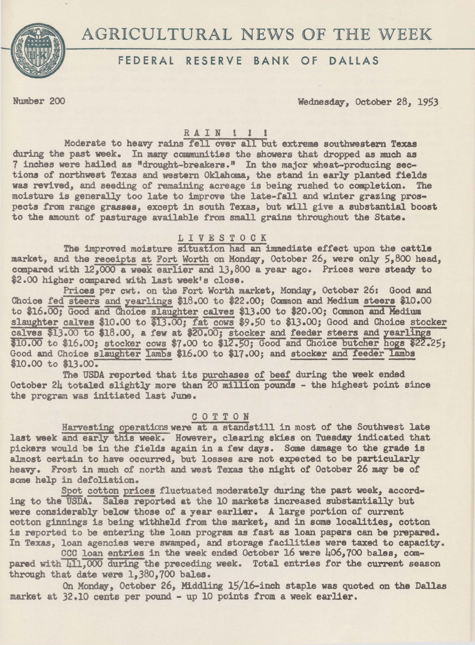

# AGRICULTURAL NEWS OF THE WEEK

# FEDERAL RESERVE BANK OF DALLAS

Number 200 Wednesday, October 28, 1953

# RAIN ! ! !

Moderate to heavy rains fell over all but extreme southwestern Texas during the past week. In many communities the showers that dropped as much as 7 inches were hailed as "drought-breakers." In the major wheat-producing sections of northwest Texas and western Oklahoma, the stand in early planted fields was revived, and seeding of remaining acreage is being rushed to completion. The was revived, and seeding of remaining acreage is being rushed to completion. moisture is generally too late to improve the late-fall and winter grazing prospects from range grasses, except in south Texas, but will give a substantial boost to the amount of pasturage available from small grains throughout the State.

## LIVESTOCK

The improved moisture situation had an immediate effect upon the cattle market, and the receipts at Fort Worth on Monday, October 26, were only 5,800 head, compared with 12,000 a week earlier and 13,800 a year ago. Prices were steady to \$2.00 higher compared with last week's close.

Prices per cwt. on the Fort Worth market, Monday, October 26: Good and Choice fed steers and yearlings \$18.00 to \$22.00; Common and Medium steers \$10.00 to \$16.00; Good and Choice slaughter calves \$13.00 to \$20•00; Common and Medium slaughter calves \$10.00 to \$13.00; fat cows *\$9.50* to \$13.00; Good and Choice stocker calves  $$13.00$  to  $$18.00$ , a few at  $$20.00$ ; stocker and feeder steers and yearlings \$10.00 to \$16.00; stocker cows \$7.00 to \$12.50; Good and Choice butcher hogs \$22.25; Good and Choice slaughter lambs \$16.00 to \$17.00; and stocker and feeder lambs \$10.00 to \$13.00.

The USDA reported that its purchases of beet during the week ended October 24 totaled slightly more than 20 million pounds - the highest point since the program was initiated last June.

### COTTON

Harvesting operations were at a standstill in most of the Southwest late last week and early this week. However, clearing skies on Tuesday indicated that pickers would be in the fields again in a few days. Some damage to the grade is almost certain to have occurred, but losses are not expected to be particularly heavy. Frost in much of north and west Texas the night of October 26 may be of some help in defoliation.

Spot cotton prices fluctuated moderately during the past week, according to the USDA. Sales reported at the 10 markets increased substantially but were considerably below those *ot* a year earlier. A large portion of current cotton ginnings is being withheld from the market, and in some localities, cotton is reported to be entering the loan program as fast as loan papers can be prepared. In Texas, loan agencies were swamped, and storage facilities were taxed to capacity.

CCC loan entries in the week ended October 16 were 406,700 bales, compared with  $\sqrt{11,000}$  during the preceding week. Total entries for the current season through that date were 1,380,700 bales.

On Monday, October 26, Middling 15/16-inch staple was quoted on the Dallas market at 32.10 cents per pound - up 10 points from a week earlier.